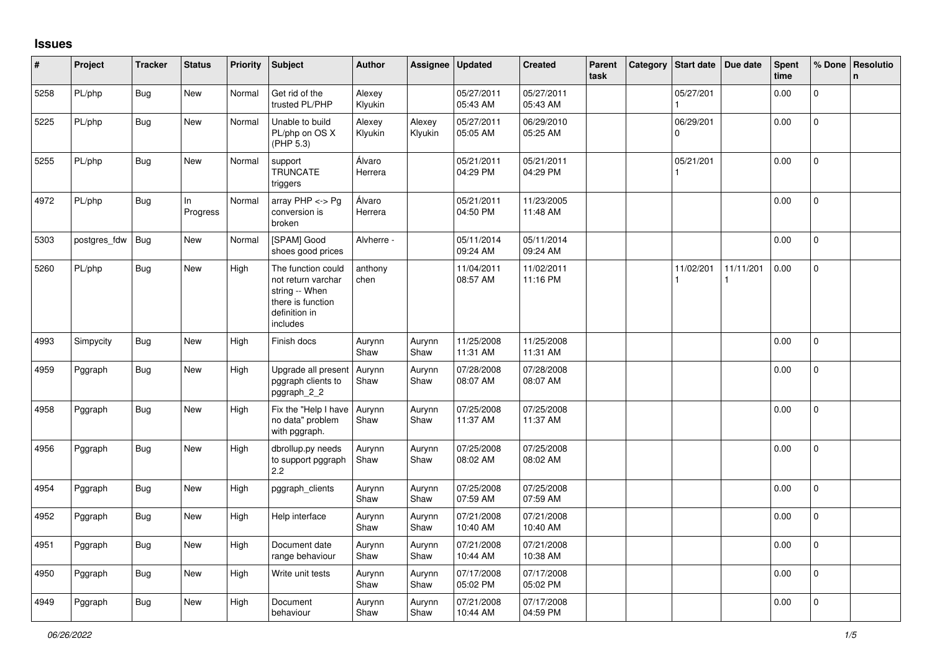## **Issues**

| #    | Project      | <b>Tracker</b> | <b>Status</b>  | Priority | <b>Subject</b>                                                                                               | <b>Author</b>     | <b>Assignee</b>   | <b>Updated</b>         | <b>Created</b>         | Parent<br>task | Category Start date | Due date  | <b>Spent</b><br>time | % Done       | Resolutio<br>$\mathbf n$ |
|------|--------------|----------------|----------------|----------|--------------------------------------------------------------------------------------------------------------|-------------------|-------------------|------------------------|------------------------|----------------|---------------------|-----------|----------------------|--------------|--------------------------|
| 5258 | PL/php       | <b>Bug</b>     | New            | Normal   | Get rid of the<br>trusted PL/PHP                                                                             | Alexey<br>Klyukin |                   | 05/27/2011<br>05:43 AM | 05/27/2011<br>05:43 AM |                | 05/27/201           |           | 0.00                 | $\Omega$     |                          |
| 5225 | PL/php       | Bug            | New            | Normal   | Unable to build<br>PL/php on OS X<br>(PHP 5.3)                                                               | Alexey<br>Klyukin | Alexey<br>Klyukin | 05/27/2011<br>05:05 AM | 06/29/2010<br>05:25 AM |                | 06/29/201<br>0      |           | 0.00                 | $\pmb{0}$    |                          |
| 5255 | PL/php       | Bug            | New            | Normal   | support<br><b>TRUNCATE</b><br>triggers                                                                       | Álvaro<br>Herrera |                   | 05/21/2011<br>04:29 PM | 05/21/2011<br>04:29 PM |                | 05/21/201           |           | 0.00                 | $\mathbf 0$  |                          |
| 4972 | PL/php       | Bug            | In<br>Progress | Normal   | array PHP <-> Pg<br>conversion is<br>broken                                                                  | Álvaro<br>Herrera |                   | 05/21/2011<br>04:50 PM | 11/23/2005<br>11:48 AM |                |                     |           | 0.00                 | $\Omega$     |                          |
| 5303 | postgres_fdw | <b>Bug</b>     | New            | Normal   | [SPAM] Good<br>shoes good prices                                                                             | Alvherre -        |                   | 05/11/2014<br>09:24 AM | 05/11/2014<br>09:24 AM |                |                     |           | 0.00                 | $\mathbf 0$  |                          |
| 5260 | PL/php       | Bug            | New            | High     | The function could<br>not return varchar<br>string -- When<br>there is function<br>definition in<br>includes | anthony<br>chen   |                   | 11/04/2011<br>08:57 AM | 11/02/2011<br>11:16 PM |                | 11/02/201           | 11/11/201 | 0.00                 | $\mathbf{0}$ |                          |
| 4993 | Simpycity    | <b>Bug</b>     | <b>New</b>     | High     | Finish docs                                                                                                  | Aurynn<br>Shaw    | Aurynn<br>Shaw    | 11/25/2008<br>11:31 AM | 11/25/2008<br>11:31 AM |                |                     |           | 0.00                 | $\mathbf{0}$ |                          |
| 4959 | Pggraph      | Bug            | New            | High     | Upgrade all present<br>pggraph clients to<br>pggraph_2_2                                                     | Aurynn<br>Shaw    | Aurynn<br>Shaw    | 07/28/2008<br>08:07 AM | 07/28/2008<br>08:07 AM |                |                     |           | 0.00                 | $\mathbf{0}$ |                          |
| 4958 | Pggraph      | <b>Bug</b>     | <b>New</b>     | High     | Fix the "Help I have<br>no data" problem<br>with pggraph.                                                    | Aurynn<br>Shaw    | Aurynn<br>Shaw    | 07/25/2008<br>11:37 AM | 07/25/2008<br>11:37 AM |                |                     |           | 0.00                 | $\Omega$     |                          |
| 4956 | Pggraph      | Bug            | New            | High     | dbrollup.py needs<br>to support pggraph<br>2.2                                                               | Aurynn<br>Shaw    | Aurynn<br>Shaw    | 07/25/2008<br>08:02 AM | 07/25/2008<br>08:02 AM |                |                     |           | 0.00                 | 0            |                          |
| 4954 | Pggraph      | <b>Bug</b>     | <b>New</b>     | High     | pggraph_clients                                                                                              | Aurynn<br>Shaw    | Aurynn<br>Shaw    | 07/25/2008<br>07:59 AM | 07/25/2008<br>07:59 AM |                |                     |           | 0.00                 | $\mathbf{0}$ |                          |
| 4952 | Pggraph      | <b>Bug</b>     | New            | High     | Help interface                                                                                               | Aurynn<br>Shaw    | Aurynn<br>Shaw    | 07/21/2008<br>10:40 AM | 07/21/2008<br>10:40 AM |                |                     |           | 0.00                 | $\Omega$     |                          |
| 4951 | Pggraph      | <b>Bug</b>     | New            | High     | Document date<br>range behaviour                                                                             | Aurynn<br>Shaw    | Aurynn<br>Shaw    | 07/21/2008<br>10:44 AM | 07/21/2008<br>10:38 AM |                |                     |           | 0.00                 | $\Omega$     |                          |
| 4950 | Pggraph      | Bug            | New            | High     | Write unit tests                                                                                             | Aurynn<br>Shaw    | Aurynn<br>Shaw    | 07/17/2008<br>05:02 PM | 07/17/2008<br>05:02 PM |                |                     |           | 0.00                 | $\mathbf 0$  |                          |
| 4949 | Pggraph      | Bug            | New            | High     | Document<br>behaviour                                                                                        | Aurynn<br>Shaw    | Aurynn<br>Shaw    | 07/21/2008<br>10:44 AM | 07/17/2008<br>04:59 PM |                |                     |           | 0.00                 | $\mathbf{0}$ |                          |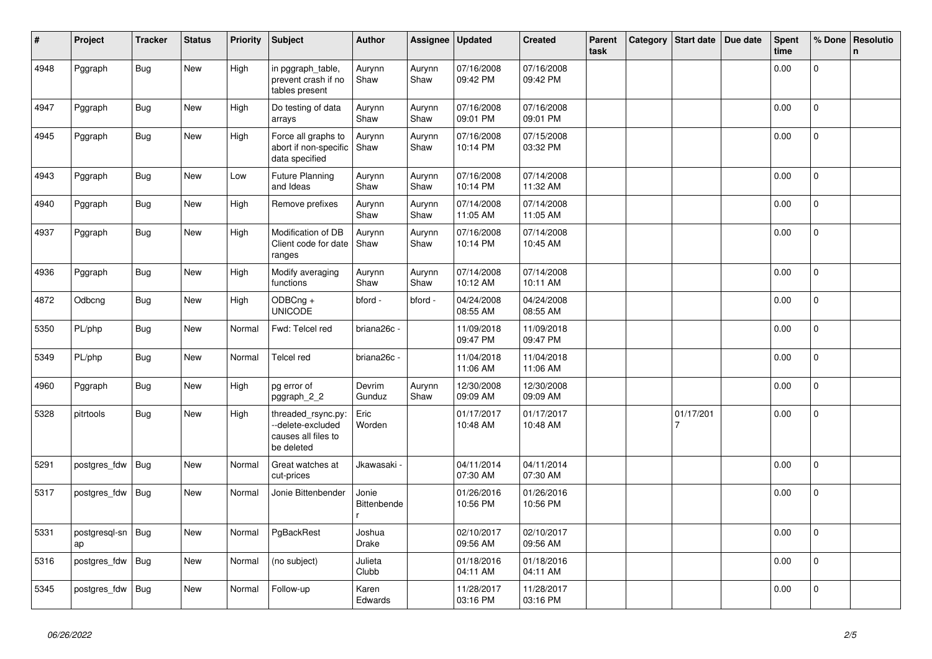| #    | Project             | <b>Tracker</b> | <b>Status</b> | Priority | <b>Subject</b>                                                              | <b>Author</b>          | Assignee       | <b>Updated</b>         | <b>Created</b>         | Parent<br>task | Category | Start date                  | Due date | <b>Spent</b><br>time | % Done         | Resolutio<br>$\mathbf n$ |
|------|---------------------|----------------|---------------|----------|-----------------------------------------------------------------------------|------------------------|----------------|------------------------|------------------------|----------------|----------|-----------------------------|----------|----------------------|----------------|--------------------------|
| 4948 | Pggraph             | <b>Bug</b>     | New           | High     | in pggraph_table,<br>prevent crash if no<br>tables present                  | Aurynn<br>Shaw         | Aurynn<br>Shaw | 07/16/2008<br>09:42 PM | 07/16/2008<br>09:42 PM |                |          |                             |          | 0.00                 | $\mathbf 0$    |                          |
| 4947 | Pggraph             | <b>Bug</b>     | New           | High     | Do testing of data<br>arrays                                                | Aurynn<br>Shaw         | Aurynn<br>Shaw | 07/16/2008<br>09:01 PM | 07/16/2008<br>09:01 PM |                |          |                             |          | 0.00                 | $\Omega$       |                          |
| 4945 | Pggraph             | Bug            | New           | High     | Force all graphs to<br>abort if non-specific<br>data specified              | Aurynn<br>Shaw         | Aurynn<br>Shaw | 07/16/2008<br>10:14 PM | 07/15/2008<br>03:32 PM |                |          |                             |          | 0.00                 | $\mathbf 0$    |                          |
| 4943 | Pggraph             | <b>Bug</b>     | New           | Low      | <b>Future Planning</b><br>and Ideas                                         | Aurynn<br>Shaw         | Aurynn<br>Shaw | 07/16/2008<br>10:14 PM | 07/14/2008<br>11:32 AM |                |          |                             |          | 0.00                 | $\Omega$       |                          |
| 4940 | Pggraph             | <b>Bug</b>     | New           | High     | Remove prefixes                                                             | Aurynn<br>Shaw         | Aurynn<br>Shaw | 07/14/2008<br>11:05 AM | 07/14/2008<br>11:05 AM |                |          |                             |          | 0.00                 | $\overline{0}$ |                          |
| 4937 | Pggraph             | <b>Bug</b>     | New           | High     | Modification of DB<br>Client code for date<br>ranges                        | Aurynn<br>Shaw         | Aurynn<br>Shaw | 07/16/2008<br>10:14 PM | 07/14/2008<br>10:45 AM |                |          |                             |          | 0.00                 | $\overline{0}$ |                          |
| 4936 | Pggraph             | <b>Bug</b>     | New           | High     | Modify averaging<br>functions                                               | Aurynn<br>Shaw         | Aurynn<br>Shaw | 07/14/2008<br>10:12 AM | 07/14/2008<br>10:11 AM |                |          |                             |          | 0.00                 | $\overline{0}$ |                          |
| 4872 | Odbcng              | <b>Bug</b>     | New           | High     | ODBCng +<br><b>UNICODE</b>                                                  | bford -                | bford -        | 04/24/2008<br>08:55 AM | 04/24/2008<br>08:55 AM |                |          |                             |          | 0.00                 | $\Omega$       |                          |
| 5350 | PL/php              | Bug            | New           | Normal   | Fwd: Telcel red                                                             | briana26c -            |                | 11/09/2018<br>09:47 PM | 11/09/2018<br>09:47 PM |                |          |                             |          | 0.00                 | 0              |                          |
| 5349 | PL/php              | <b>Bug</b>     | New           | Normal   | Telcel red                                                                  | briana26c -            |                | 11/04/2018<br>11:06 AM | 11/04/2018<br>11:06 AM |                |          |                             |          | 0.00                 | 0              |                          |
| 4960 | Pggraph             | <b>Bug</b>     | New           | High     | pg error of<br>pggraph_2_2                                                  | Devrim<br>Gunduz       | Aurynn<br>Shaw | 12/30/2008<br>09:09 AM | 12/30/2008<br>09:09 AM |                |          |                             |          | 0.00                 | $\mathbf 0$    |                          |
| 5328 | pitrtools           | <b>Bug</b>     | <b>New</b>    | High     | threaded rsync.py:<br>-delete-excluded<br>causes all files to<br>be deleted | Eric<br>Worden         |                | 01/17/2017<br>10:48 AM | 01/17/2017<br>10:48 AM |                |          | 01/17/201<br>$\overline{7}$ |          | 0.00                 | 0              |                          |
| 5291 | postgres_fdw        | <b>Bug</b>     | New           | Normal   | Great watches at<br>cut-prices                                              | Jkawasaki <sub>`</sub> |                | 04/11/2014<br>07:30 AM | 04/11/2014<br>07:30 AM |                |          |                             |          | 0.00                 | $\Omega$       |                          |
| 5317 | postgres_fdw        | <b>Bug</b>     | <b>New</b>    | Normal   | Jonie Bittenbender                                                          | Jonie<br>Bittenbende   |                | 01/26/2016<br>10:56 PM | 01/26/2016<br>10:56 PM |                |          |                             |          | 0.00                 | $\mathbf{0}$   |                          |
| 5331 | postgresql-sn<br>ap | Bug            | <b>New</b>    | Normal   | PgBackRest                                                                  | Joshua<br><b>Drake</b> |                | 02/10/2017<br>09:56 AM | 02/10/2017<br>09:56 AM |                |          |                             |          | 0.00                 | $\mathbf{0}$   |                          |
| 5316 | postgres_fdw        | <b>Bug</b>     | <b>New</b>    | Normal   | (no subject)                                                                | Julieta<br>Clubb       |                | 01/18/2016<br>04:11 AM | 01/18/2016<br>04:11 AM |                |          |                             |          | 0.00                 | 0              |                          |
| 5345 | postgres_fdw        | Bug            | New           | Normal   | Follow-up                                                                   | Karen<br>Edwards       |                | 11/28/2017<br>03:16 PM | 11/28/2017<br>03:16 PM |                |          |                             |          | 0.00                 | 0              |                          |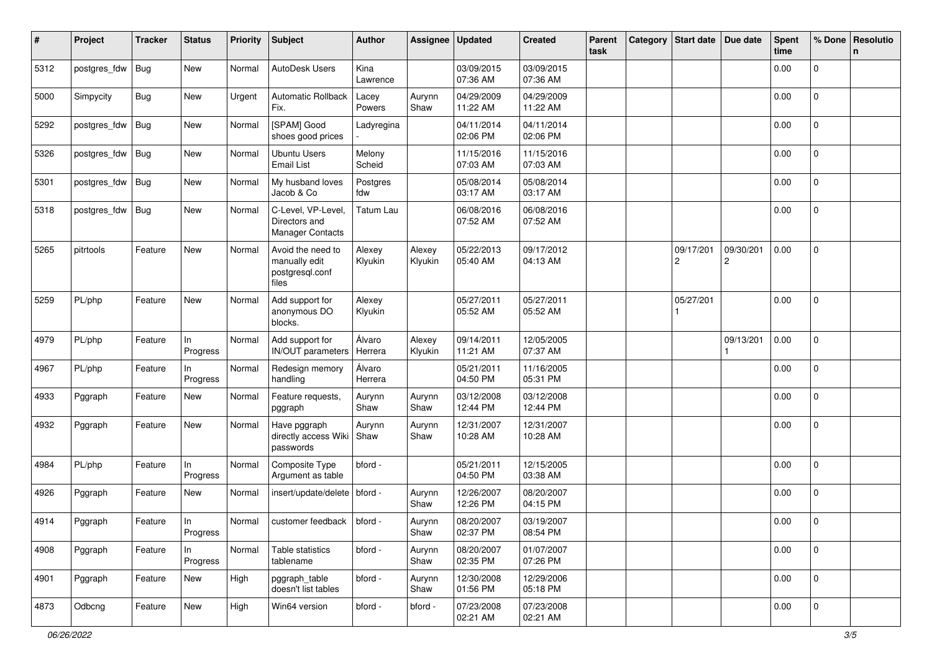| #    | Project      | <b>Tracker</b> | <b>Status</b>  | <b>Priority</b> | Subject                                                        | <b>Author</b>     | Assignee          | <b>Updated</b>         | <b>Created</b>         | Parent<br>task | Category | <b>Start date</b>           | Due date                    | <b>Spent</b><br>time | % Done         | Resolutio<br>n |
|------|--------------|----------------|----------------|-----------------|----------------------------------------------------------------|-------------------|-------------------|------------------------|------------------------|----------------|----------|-----------------------------|-----------------------------|----------------------|----------------|----------------|
| 5312 | postgres_fdw | <b>Bug</b>     | New            | Normal          | AutoDesk Users                                                 | Kina<br>Lawrence  |                   | 03/09/2015<br>07:36 AM | 03/09/2015<br>07:36 AM |                |          |                             |                             | 0.00                 | 0              |                |
| 5000 | Simpycity    | Bug            | New            | Urgent          | <b>Automatic Rollback</b><br>Fix.                              | Lacey<br>Powers   | Aurynn<br>Shaw    | 04/29/2009<br>11:22 AM | 04/29/2009<br>11:22 AM |                |          |                             |                             | 0.00                 | 0              |                |
| 5292 | postgres_fdw | <b>Bug</b>     | New            | Normal          | [SPAM] Good<br>shoes good prices                               | Ladyregina        |                   | 04/11/2014<br>02:06 PM | 04/11/2014<br>02:06 PM |                |          |                             |                             | 0.00                 | $\overline{0}$ |                |
| 5326 | postgres_fdw | Bug            | New            | Normal          | <b>Ubuntu Users</b><br><b>Email List</b>                       | Melony<br>Scheid  |                   | 11/15/2016<br>07:03 AM | 11/15/2016<br>07:03 AM |                |          |                             |                             | 0.00                 | 0              |                |
| 5301 | postgres_fdw | Bug            | <b>New</b>     | Normal          | My husband loves<br>Jacob & Co                                 | Postgres<br>fdw   |                   | 05/08/2014<br>03:17 AM | 05/08/2014<br>03:17 AM |                |          |                             |                             | 0.00                 | $\overline{0}$ |                |
| 5318 | postgres_fdw | Bug            | New            | Normal          | C-Level, VP-Level,<br>Directors and<br><b>Manager Contacts</b> | Tatum Lau         |                   | 06/08/2016<br>07:52 AM | 06/08/2016<br>07:52 AM |                |          |                             |                             | 0.00                 | $\overline{0}$ |                |
| 5265 | pitrtools    | Feature        | New            | Normal          | Avoid the need to<br>manually edit<br>postgresql.conf<br>files | Alexey<br>Klyukin | Alexey<br>Klyukin | 05/22/2013<br>05:40 AM | 09/17/2012<br>04:13 AM |                |          | 09/17/201<br>$\overline{c}$ | 09/30/201<br>$\overline{c}$ | 0.00                 | $\Omega$       |                |
| 5259 | PL/php       | Feature        | New            | Normal          | Add support for<br>anonymous DO<br>blocks.                     | Alexey<br>Klyukin |                   | 05/27/2011<br>05:52 AM | 05/27/2011<br>05:52 AM |                |          | 05/27/201                   |                             | 0.00                 | $\overline{0}$ |                |
| 4979 | PL/php       | Feature        | In<br>Progress | Normal          | Add support for<br>IN/OUT parameters                           | Álvaro<br>Herrera | Alexey<br>Klyukin | 09/14/2011<br>11:21 AM | 12/05/2005<br>07:37 AM |                |          |                             | 09/13/201                   | 0.00                 | $\overline{0}$ |                |
| 4967 | PL/php       | Feature        | In<br>Progress | Normal          | Redesign memory<br>handling                                    | Álvaro<br>Herrera |                   | 05/21/2011<br>04:50 PM | 11/16/2005<br>05:31 PM |                |          |                             |                             | 0.00                 | $\Omega$       |                |
| 4933 | Pggraph      | Feature        | New            | Normal          | Feature requests,<br>pggraph                                   | Aurynn<br>Shaw    | Aurynn<br>Shaw    | 03/12/2008<br>12:44 PM | 03/12/2008<br>12:44 PM |                |          |                             |                             | 0.00                 | $\overline{0}$ |                |
| 4932 | Pggraph      | Feature        | New            | Normal          | Have pggraph<br>directly access Wiki<br>passwords              | Aurynn<br>Shaw    | Aurynn<br>Shaw    | 12/31/2007<br>10:28 AM | 12/31/2007<br>10:28 AM |                |          |                             |                             | 0.00                 | 0              |                |
| 4984 | PL/php       | Feature        | In<br>Progress | Normal          | Composite Type<br>Argument as table                            | bford -           |                   | 05/21/2011<br>04:50 PM | 12/15/2005<br>03:38 AM |                |          |                             |                             | 0.00                 | $\overline{0}$ |                |
| 4926 | Pggraph      | Feature        | New            | Normal          | insert/update/delete                                           | bford -           | Aurynn<br>Shaw    | 12/26/2007<br>12:26 PM | 08/20/2007<br>04:15 PM |                |          |                             |                             | 0.00                 | 0              |                |
| 4914 | Pggraph      | Feature        | In<br>Progress | Normal          | customer feedback                                              | bford -           | Aurynn<br>Shaw    | 08/20/2007<br>02:37 PM | 03/19/2007<br>08:54 PM |                |          |                             |                             | 0.00                 | $\mathbf 0$    |                |
| 4908 | Pggraph      | Feature        | In<br>Progress | Normal          | Table statistics<br>tablename                                  | bford -           | Aurynn<br>Shaw    | 08/20/2007<br>02:35 PM | 01/07/2007<br>07:26 PM |                |          |                             |                             | 0.00                 | 0              |                |
| 4901 | Pggraph      | Feature        | New            | High            | pggraph_table<br>doesn't list tables                           | bford -           | Aurynn<br>Shaw    | 12/30/2008<br>01:56 PM | 12/29/2006<br>05:18 PM |                |          |                             |                             | 0.00                 | $\mathbf{0}$   |                |
| 4873 | Odbcng       | Feature        | New            | High            | Win64 version                                                  | bford -           | bford -           | 07/23/2008<br>02:21 AM | 07/23/2008<br>02:21 AM |                |          |                             |                             | 0.00                 | $\mathbf 0$    |                |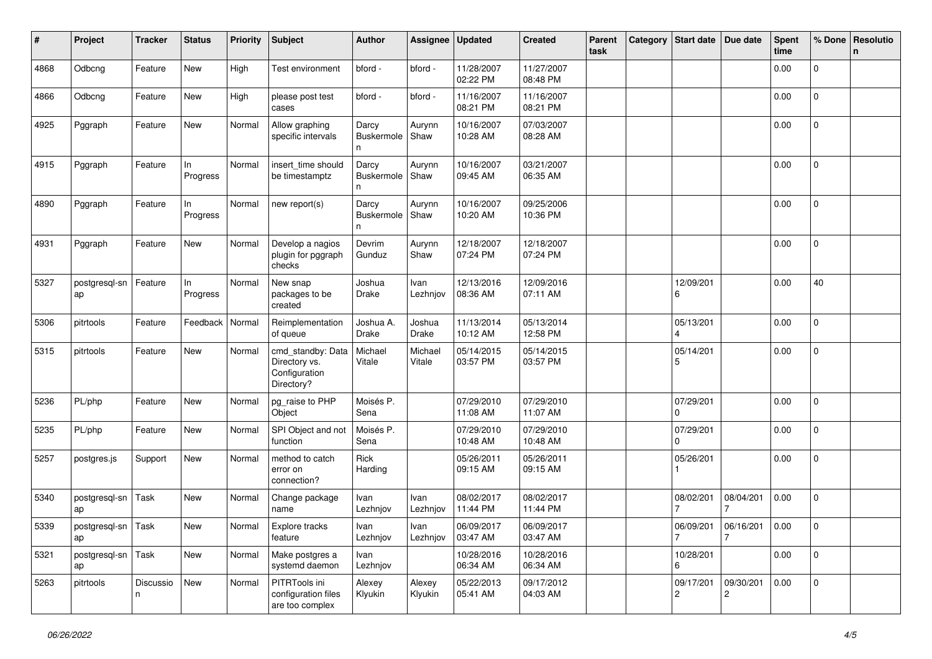| #    | Project                    | <b>Tracker</b> | <b>Status</b>     | <b>Priority</b> | <b>Subject</b>                                                    | <b>Author</b>                   | Assignee          | <b>Updated</b>         | <b>Created</b>         | Parent<br>task | Category | Start date   Due date       |                             | <b>Spent</b><br>time | % Done         | Resolutio<br>n |
|------|----------------------------|----------------|-------------------|-----------------|-------------------------------------------------------------------|---------------------------------|-------------------|------------------------|------------------------|----------------|----------|-----------------------------|-----------------------------|----------------------|----------------|----------------|
| 4868 | Odbcng                     | Feature        | New               | High            | Test environment                                                  | bford -                         | bford -           | 11/28/2007<br>02:22 PM | 11/27/2007<br>08:48 PM |                |          |                             |                             | 0.00                 | 0              |                |
| 4866 | Odbcng                     | Feature        | New               | High            | please post test<br>cases                                         | bford -                         | bford -           | 11/16/2007<br>08:21 PM | 11/16/2007<br>08:21 PM |                |          |                             |                             | 0.00                 | 0              |                |
| 4925 | Pggraph                    | Feature        | New               | Normal          | Allow graphing<br>specific intervals                              | Darcy<br>Buskermole<br>n        | Aurynn<br>Shaw    | 10/16/2007<br>10:28 AM | 07/03/2007<br>08:28 AM |                |          |                             |                             | 0.00                 | 0              |                |
| 4915 | Pggraph                    | Feature        | In<br>Progress    | Normal          | insert_time should<br>be timestamptz                              | Darcy<br>Buskermole<br>n        | Aurynn<br>Shaw    | 10/16/2007<br>09:45 AM | 03/21/2007<br>06:35 AM |                |          |                             |                             | 0.00                 | 0              |                |
| 4890 | Pggraph                    | Feature        | In<br>Progress    | Normal          | new report(s)                                                     | Darcy<br><b>Buskermole</b><br>n | Aurynn<br>Shaw    | 10/16/2007<br>10:20 AM | 09/25/2006<br>10:36 PM |                |          |                             |                             | 0.00                 | 0              |                |
| 4931 | Pggraph                    | Feature        | New               | Normal          | Develop a nagios<br>plugin for pggraph<br>checks                  | Devrim<br>Gunduz                | Aurynn<br>Shaw    | 12/18/2007<br>07:24 PM | 12/18/2007<br>07:24 PM |                |          |                             |                             | 0.00                 | $\overline{0}$ |                |
| 5327 | postgresql-sn<br>ap        | Feature        | In<br>Progress    | Normal          | New snap<br>packages to be<br>created                             | Joshua<br>Drake                 | Ivan<br>Lezhnjov  | 12/13/2016<br>08:36 AM | 12/09/2016<br>07:11 AM |                |          | 12/09/201<br>6              |                             | 0.00                 | 40             |                |
| 5306 | pitrtools                  | Feature        | Feedback   Normal |                 | Reimplementation<br>of queue                                      | Joshua A.<br>Drake              | Joshua<br>Drake   | 11/13/2014<br>10:12 AM | 05/13/2014<br>12:58 PM |                |          | 05/13/201                   |                             | 0.00                 | $\overline{0}$ |                |
| 5315 | pitrtools                  | Feature        | New               | Normal          | cmd_standby: Data<br>Directory vs.<br>Configuration<br>Directory? | Michael<br>Vitale               | Michael<br>Vitale | 05/14/2015<br>03:57 PM | 05/14/2015<br>03:57 PM |                |          | 05/14/201<br>5              |                             | 0.00                 | 0              |                |
| 5236 | PL/php                     | Feature        | New               | Normal          | pg_raise to PHP<br>Object                                         | Moisés P.<br>Sena               |                   | 07/29/2010<br>11:08 AM | 07/29/2010<br>11:07 AM |                |          | 07/29/201<br><sup>0</sup>   |                             | 0.00                 | $\mathbf 0$    |                |
| 5235 | PL/php                     | Feature        | New               | Normal          | SPI Object and not<br>function                                    | Moisés P.<br>Sena               |                   | 07/29/2010<br>10:48 AM | 07/29/2010<br>10:48 AM |                |          | 07/29/201<br>0              |                             | 0.00                 | $\overline{0}$ |                |
| 5257 | postgres.js                | Support        | New               | Normal          | method to catch<br>error on<br>connection?                        | Rick<br>Harding                 |                   | 05/26/2011<br>09:15 AM | 05/26/2011<br>09:15 AM |                |          | 05/26/201                   |                             | 0.00                 | $\mathbf 0$    |                |
| 5340 | postgresql-sn<br>ap        | Task           | New               | Normal          | Change package<br>name                                            | Ivan<br>Lezhnjov                | Ivan<br>Lezhnjov  | 08/02/2017<br>11:44 PM | 08/02/2017<br>11:44 PM |                |          | 08/02/201                   | 08/04/201                   | 0.00                 | $\mathbf 0$    |                |
| 5339 | postgresql-sn Task<br>ap   |                | New               | Normal          | Explore tracks<br>feature                                         | Ivan<br>Lezhnjov                | Ivan<br>Lezhnjov  | 06/09/2017<br>03:47 AM | 06/09/2017<br>03:47 AM |                |          | 06/09/201<br>$\overline{7}$ | 06/16/201<br>7              | 0.00                 | 0              |                |
| 5321 | postgresql-sn   Task<br>ap |                | New               | Normal          | Make postgres a<br>systemd daemon                                 | Ivan<br>Lezhnjov                |                   | 10/28/2016<br>06:34 AM | 10/28/2016<br>06:34 AM |                |          | 10/28/201<br>6              |                             | 0.00                 | $\mathbf{0}$   |                |
| 5263 | pitrtools                  | Discussio<br>n | New               | Normal          | PITRTools ini<br>configuration files<br>are too complex           | Alexey<br>Klyukin               | Alexey<br>Klyukin | 05/22/2013<br>05:41 AM | 09/17/2012<br>04:03 AM |                |          | 09/17/201<br>$\overline{c}$ | 09/30/201<br>$\overline{c}$ | 0.00                 | $\mathbf{0}$   |                |